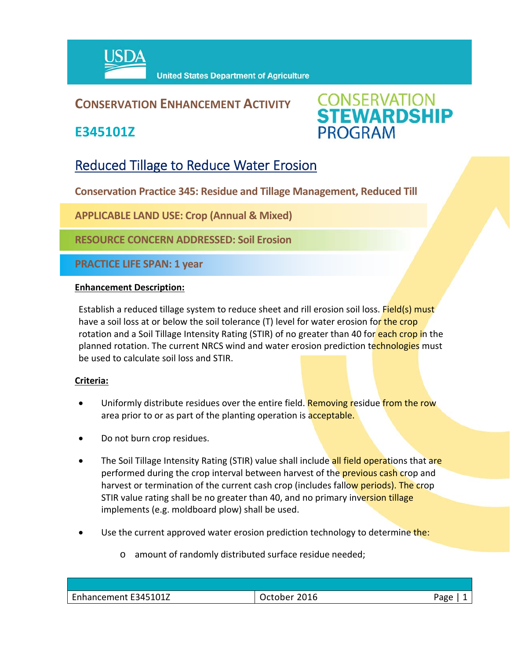

## **CONSERVATION ENHANCEMENT ACTIVITY**

**E345101Z**



# Reduced Tillage to Reduce Water Erosion

**Conservation Practice 345: Residue and Tillage Management, Reduced Till** 

**APPLICABLE LAND USE: Crop (Annual & Mixed)**

**RESOURCE CONCERN ADDRESSED: Soil Erosion**

**PRACTICE LIFE SPAN: 1 year**

### **Enhancement Description:**

Establish a reduced tillage system to reduce sheet and rill erosion soil loss. Field(s) must have a soil loss at or below the soil tolerance (T) level for water erosion for the crop rotation and a Soil Tillage Intensity Rating (STIR) of no greater than 40 for each crop in the planned rotation. The current NRCS wind and water erosion prediction technologies must be used to calculate soil loss and STIR.

#### **Criteria:**

- Uniformly distribute residues over the entire field. Removing residue from the row area prior to or as part of the planting operation is acceptable.
- Do not burn crop residues.
- The Soil Tillage Intensity Rating (STIR) value shall include all field operations that are performed during the crop interval between harvest of the **previous cash crop** and harvest or termination of the current cash crop (includes fallow periods). The crop STIR value rating shall be no greater than 40, and no primary inversion tillage implements (e.g. moldboard plow) shall be used.
- Use the current approved water erosion prediction technology to determine the:
	- o amount of randomly distributed surface residue needed;

| Enhancement E345101Z | 2016<br>October | Aמב <sup>כ</sup> |
|----------------------|-----------------|------------------|